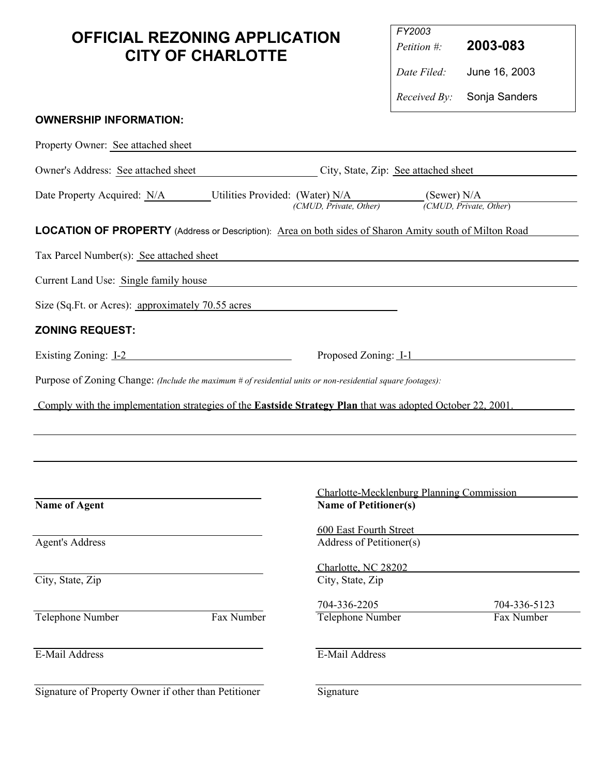## **OFFICIAL REZONING APPLICATION CITY OF CHARLOTTE**

| FY2003<br>Petition $\#$ | 2003-083                          |
|-------------------------|-----------------------------------|
| Date Filed:             | June 16, 2003                     |
|                         | <i>Received By:</i> Sonja Sanders |

## **OWNERSHIP INFORMATION:**

| Property Owner: See attached sheet                                                                                |                                                                   |                                                                           |  |  |  |
|-------------------------------------------------------------------------------------------------------------------|-------------------------------------------------------------------|---------------------------------------------------------------------------|--|--|--|
| Owner's Address: See attached sheet                                                                               | City, State, Zip: See attached sheet                              |                                                                           |  |  |  |
| Date Property Acquired: N/A<br>Utilities Provided: (Water) N/A                                                    | (Sewer) $N/A$<br>(CMUD, Private, Other)<br>(CMUD, Private, Other) |                                                                           |  |  |  |
| LOCATION OF PROPERTY (Address or Description): Area on both sides of Sharon Amity south of Milton Road            |                                                                   |                                                                           |  |  |  |
| Tax Parcel Number(s): See attached sheet                                                                          |                                                                   |                                                                           |  |  |  |
| Current Land Use: Single family house                                                                             |                                                                   |                                                                           |  |  |  |
| Size (Sq.Ft. or Acres): approximately 70.55 acres                                                                 |                                                                   |                                                                           |  |  |  |
| <b>ZONING REQUEST:</b>                                                                                            |                                                                   |                                                                           |  |  |  |
| Existing Zoning: 1-2                                                                                              |                                                                   | Proposed Zoning: <u>I-1</u>                                               |  |  |  |
| Purpose of Zoning Change: (Include the maximum # of residential units or non-residential square footages):        |                                                                   |                                                                           |  |  |  |
| Comply with the implementation strategies of the <b>Eastside Strategy Plan</b> that was adopted October 22, 2001. |                                                                   |                                                                           |  |  |  |
|                                                                                                                   |                                                                   |                                                                           |  |  |  |
|                                                                                                                   |                                                                   |                                                                           |  |  |  |
|                                                                                                                   |                                                                   |                                                                           |  |  |  |
| <b>Name of Agent</b>                                                                                              |                                                                   | Charlotte-Mecklenburg Planning Commission<br><b>Name of Petitioner(s)</b> |  |  |  |
|                                                                                                                   | 600 East Fourth Street                                            |                                                                           |  |  |  |
| <b>Agent's Address</b>                                                                                            | Address of Petitioner(s)                                          |                                                                           |  |  |  |
|                                                                                                                   | Charlotte, NC 28202                                               |                                                                           |  |  |  |
| City, State, Zip                                                                                                  | City, State, Zip                                                  |                                                                           |  |  |  |
|                                                                                                                   | 704-336-2205                                                      | 704-336-5123                                                              |  |  |  |
| Telephone Number<br>Fax Number                                                                                    | <b>Telephone Number</b>                                           | Fax Number                                                                |  |  |  |
| E-Mail Address                                                                                                    | E-Mail Address                                                    |                                                                           |  |  |  |
| Signature of Property Owner if other than Petitioner                                                              | Signature                                                         |                                                                           |  |  |  |